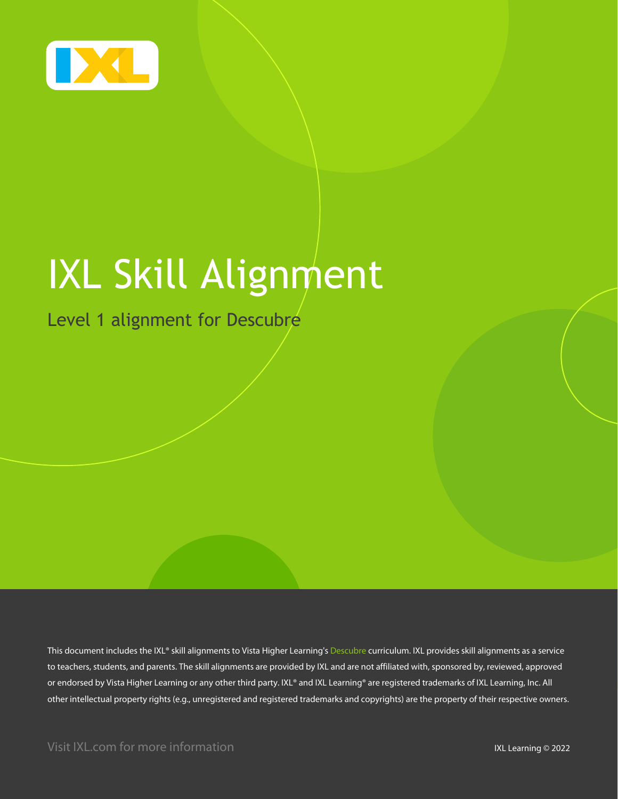

# IXL Skill Alignment

Level 1 alignment for Descubre

This document includes the IXL® skill alignments to Vista Higher Learning's Descubre curriculum. IXL provides skill alignments as a service to teachers, students, and parents. The skill alignments are provided by IXL and are not affiliated with, sponsored by, reviewed, approved or endorsed by Vista Higher Learning or any other third party. IXL® and IXL Learning® are registered trademarks of IXL Learning, Inc. All other intellectual property rights (e.g., unregistered and registered trademarks and copyrights) are the property of their respective owners.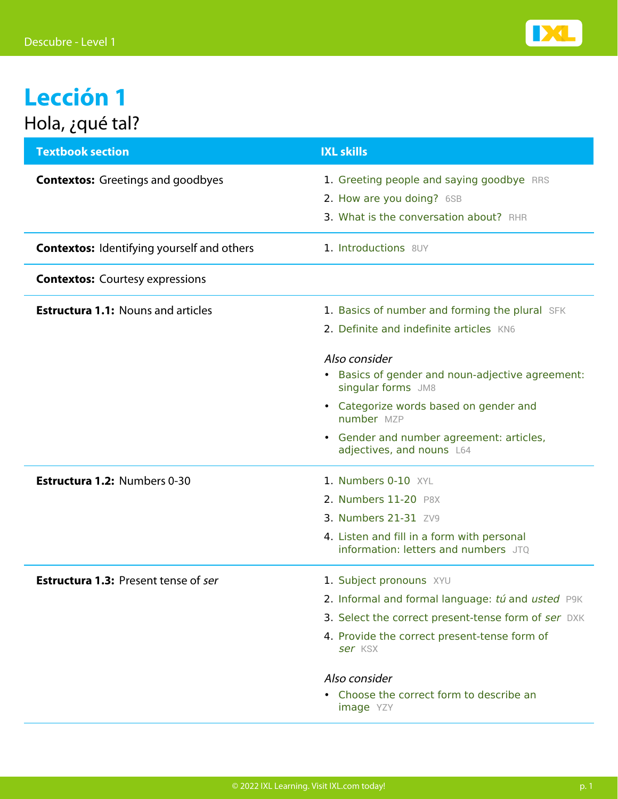

## **Lección 1** Hola, ¿qué tal?

| <b>Textbook section</b>                           | <b>IXL skills</b>                                                                                                |
|---------------------------------------------------|------------------------------------------------------------------------------------------------------------------|
| <b>Contextos:</b> Greetings and goodbyes          | 1. Greeting people and saying goodbye RRS<br>2. How are you doing? 6SB<br>3. What is the conversation about? RHR |
| <b>Contextos:</b> Identifying yourself and others | 1. Introductions 8UY                                                                                             |
| <b>Contextos:</b> Courtesy expressions            |                                                                                                                  |
| <b>Estructura 1.1: Nouns and articles</b>         | 1. Basics of number and forming the plural SFK<br>2. Definite and indefinite articles KN6                        |
|                                                   | Also consider<br>Basics of gender and noun-adjective agreement:<br>$\bullet$<br>singular forms JM8               |
|                                                   | • Categorize words based on gender and<br>number MZP                                                             |
|                                                   | • Gender and number agreement: articles,<br>adjectives, and nouns L64                                            |
| Estructura 1.2: Numbers 0-30                      | 1. Numbers 0-10 XYL                                                                                              |
|                                                   | 2. Numbers 11-20 P8X                                                                                             |
|                                                   | 3. Numbers 21-31 ZV9                                                                                             |
|                                                   | 4. Listen and fill in a form with personal<br>information: letters and numbers JTO                               |
| <b>Estructura 1.3: Present tense of ser</b>       | 1. Subject pronouns XYU                                                                                          |
|                                                   | 2. Informal and formal language: tú and usted P9K                                                                |
|                                                   | 3. Select the correct present-tense form of ser DXK                                                              |
|                                                   | 4. Provide the correct present-tense form of<br>ser KSX                                                          |
|                                                   | Also consider                                                                                                    |
|                                                   | Choose the correct form to describe an<br><b>image</b> YZY                                                       |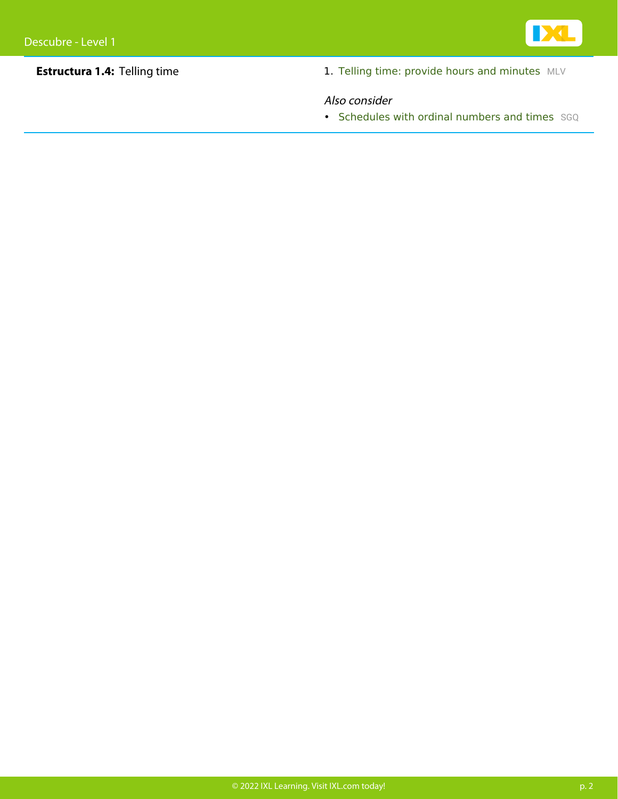

**Estructura 1.4:** Telling time 1. [Telling time: provide hours and minutes](https://www.ixl.com/spanish/level-1/telling-time-provide-hours-and-minutes) [MLV](https://www.ixl.com/spanish/level-1/telling-time-provide-hours-and-minutes)

#### Also consider

• [Schedules with ordinal numbers and times](https://www.ixl.com/spanish/level-1/schedules-with-ordinal-numbers-and-times) [SGQ](https://www.ixl.com/spanish/level-1/schedules-with-ordinal-numbers-and-times)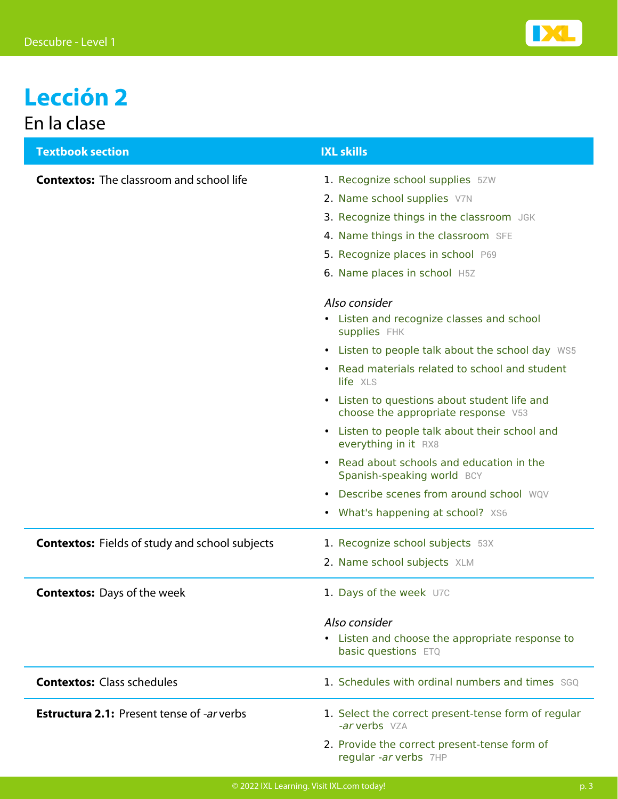

### **Lección 2** En la clase

| <b>Textbook section</b>                                  | <b>IXL skills</b>                                                                              |
|----------------------------------------------------------|------------------------------------------------------------------------------------------------|
| <b>Contextos:</b> The classroom and school life          | 1. Recognize school supplies 5ZW                                                               |
|                                                          | 2. Name school supplies V7N                                                                    |
|                                                          | 3. Recognize things in the classroom JGK                                                       |
|                                                          | 4. Name things in the classroom SFE                                                            |
|                                                          | 5. Recognize places in school P69                                                              |
|                                                          | 6. Name places in school H5Z                                                                   |
|                                                          | Also consider                                                                                  |
|                                                          | • Listen and recognize classes and school<br>supplies FHK                                      |
|                                                          | • Listen to people talk about the school day WS5                                               |
|                                                          | • Read materials related to school and student<br>life XLS                                     |
|                                                          | Listen to questions about student life and<br>$\bullet$<br>choose the appropriate response V53 |
|                                                          | Listen to people talk about their school and<br>everything in it RX8                           |
|                                                          | Read about schools and education in the<br>Spanish-speaking world BCY                          |
|                                                          | Describe scenes from around school WOV<br>$\bullet$                                            |
|                                                          | • What's happening at school? XS6                                                              |
| <b>Contextos:</b> Fields of study and school subjects    | 1. Recognize school subjects 53X                                                               |
|                                                          | 2. Name school subjects XLM                                                                    |
| <b>Contextos:</b> Days of the week                       | 1. Days of the week U7C                                                                        |
|                                                          | Also consider                                                                                  |
|                                                          | • Listen and choose the appropriate response to<br>basic questions ETQ                         |
| <b>Contextos: Class schedules</b>                        | 1. Schedules with ordinal numbers and times SGO                                                |
| <b>Estructura 2.1: Present tense of <i>-ar</i> verbs</b> | 1. Select the correct present-tense form of regular<br>-ar verbs VZA                           |
|                                                          | 2. Provide the correct present-tense form of<br>regular -ar verbs 7HP                          |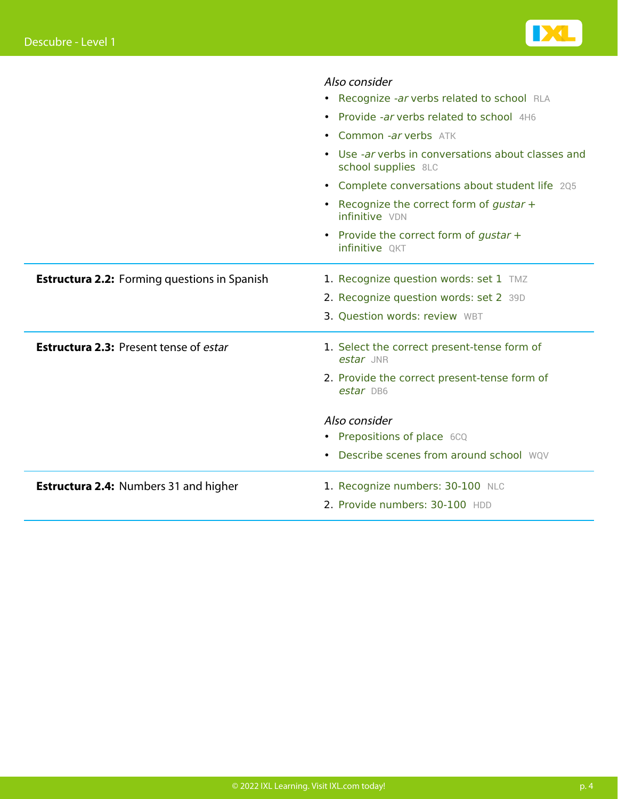

|                                                     | Also consider                                                             |
|-----------------------------------------------------|---------------------------------------------------------------------------|
|                                                     | • Recognize -ar verbs related to school RLA                               |
|                                                     | • Provide -ar verbs related to school 4H6                                 |
|                                                     | • Common -ar verbs ATK                                                    |
|                                                     | • Use -ar verbs in conversations about classes and<br>school supplies 8LC |
|                                                     | • Complete conversations about student life 205                           |
|                                                     | • Recognize the correct form of gustar +<br>infinitive VDN                |
|                                                     | • Provide the correct form of gustar +<br>infinitive QKT                  |
| <b>Estructura 2.2:</b> Forming questions in Spanish | 1. Recognize question words: set 1 TMZ                                    |
|                                                     | 2. Recognize question words: set 2 39D                                    |
|                                                     | 3. Question words: review WBT                                             |
| <b>Estructura 2.3: Present tense of estar</b>       | 1. Select the correct present-tense form of<br>estar JNR                  |
|                                                     | 2. Provide the correct present-tense form of<br>estar DB6                 |
|                                                     | Also consider                                                             |
|                                                     | • Prepositions of place 6CQ                                               |
|                                                     | • Describe scenes from around school WQV                                  |
| <b>Estructura 2.4: Numbers 31 and higher</b>        | 1. Recognize numbers: 30-100 NLC                                          |
|                                                     | 2. Provide numbers: 30-100 HDD                                            |
|                                                     |                                                                           |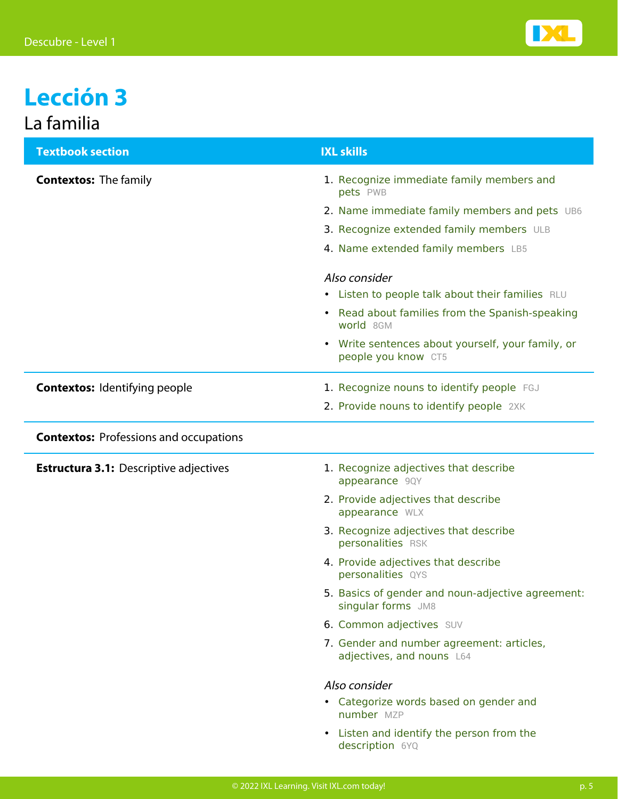

### **Lección 3** La familia

| <b>Textbook section</b>                       | <b>IXL skills</b>                                                                   |
|-----------------------------------------------|-------------------------------------------------------------------------------------|
| <b>Contextos: The family</b>                  | 1. Recognize immediate family members and<br>pets PWB                               |
|                                               | 2. Name immediate family members and pets UB6                                       |
|                                               | 3. Recognize extended family members ULB                                            |
|                                               | 4. Name extended family members LB5                                                 |
|                                               | Also consider                                                                       |
|                                               | • Listen to people talk about their families RLU                                    |
|                                               | Read about families from the Spanish-speaking<br>$\bullet$<br>world 8GM             |
|                                               | Write sentences about yourself, your family, or<br>$\bullet$<br>people you know CT5 |
| <b>Contextos: Identifying people</b>          | 1. Recognize nouns to identify people FGJ                                           |
|                                               | 2. Provide nouns to identify people 2XK                                             |
| <b>Contextos: Professions and occupations</b> |                                                                                     |
| <b>Estructura 3.1: Descriptive adjectives</b> | 1. Recognize adjectives that describe<br>appearance 9QY                             |
|                                               | 2. Provide adjectives that describe<br>appearance WLX                               |
|                                               | 3. Recognize adjectives that describe<br>personalities RSK                          |
|                                               | 4. Provide adjectives that describe<br>personalities QYS                            |
|                                               | 5. Basics of gender and noun-adjective agreement:<br>singular forms JM8             |
|                                               | 6. Common adjectives SUV                                                            |
|                                               | 7. Gender and number agreement: articles,<br>adjectives, and nouns L64              |
|                                               | Also consider                                                                       |
|                                               | • Categorize words based on gender and<br>number MZP                                |
|                                               | Listen and identify the person from the<br>$\bullet$<br>description 6YQ             |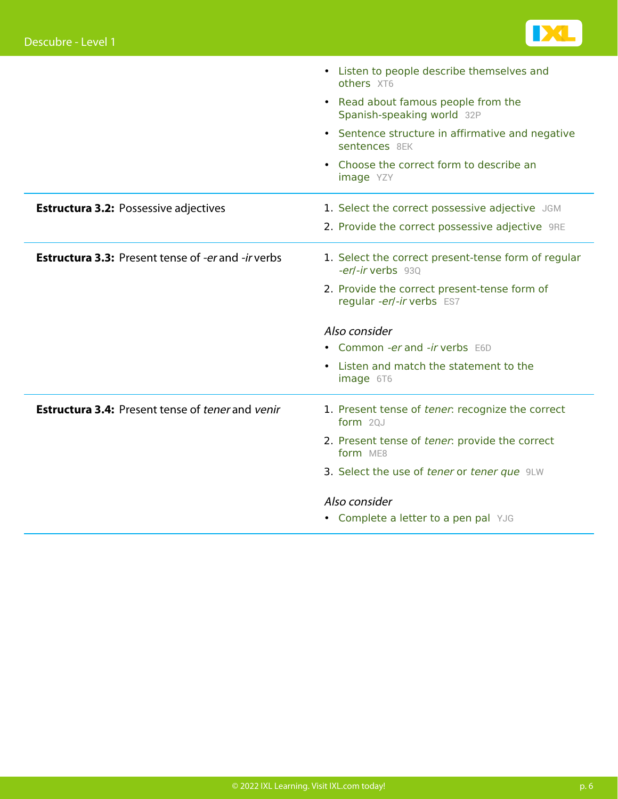

|                                                           | • Listen to people describe themselves and<br>others XT6                  |
|-----------------------------------------------------------|---------------------------------------------------------------------------|
|                                                           | • Read about famous people from the<br>Spanish-speaking world 32P         |
|                                                           | • Sentence structure in affirmative and negative<br>sentences 8EK         |
|                                                           | • Choose the correct form to describe an<br><b>image</b> YZY              |
| <b>Estructura 3.2: Possessive adjectives</b>              | 1. Select the correct possessive adjective JGM                            |
|                                                           | 2. Provide the correct possessive adjective 9RE                           |
| <b>Estructura 3.3: Present tense of -er and -ir verbs</b> | 1. Select the correct present-tense form of regular<br>-er/-ir verbs 930  |
|                                                           | 2. Provide the correct present-tense form of<br>regular -er/-ir verbs ES7 |
|                                                           | Also consider                                                             |
|                                                           | • Common -er and -ir verbs E6D                                            |
|                                                           | • Listen and match the statement to the<br>image 6T6                      |
| <b>Estructura 3.4: Present tense of tener and venir</b>   | 1. Present tense of tener: recognize the correct<br>form 20J              |
|                                                           | 2. Present tense of tener: provide the correct<br>form ME8                |
|                                                           | 3. Select the use of tener or tener que 9LW                               |
|                                                           | Also consider                                                             |
|                                                           | • Complete a letter to a pen pal YJG                                      |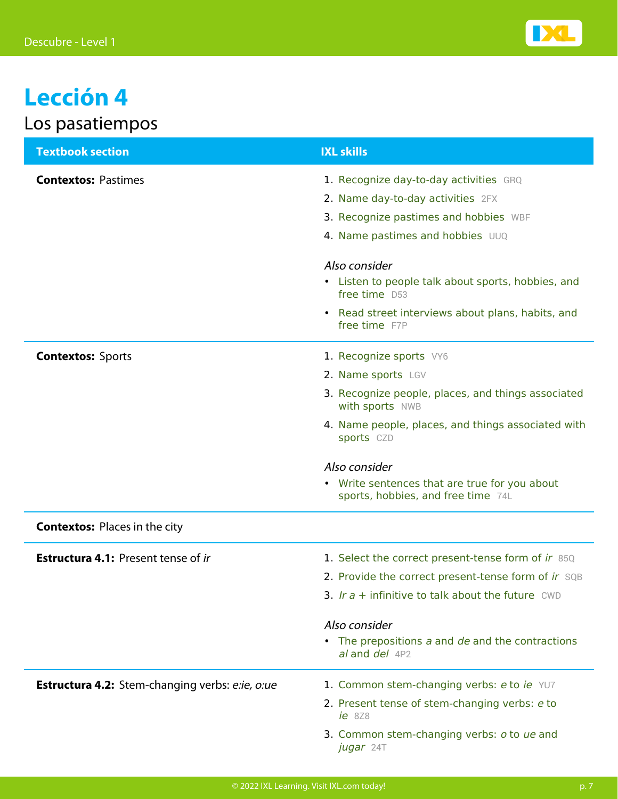

# **Lección 4**

|  |  | Los pasatiempos |
|--|--|-----------------|
|  |  |                 |

| <b>Textbook section</b>                         | <b>IXL skills</b>                                                                                                                                                                                                                                       |
|-------------------------------------------------|---------------------------------------------------------------------------------------------------------------------------------------------------------------------------------------------------------------------------------------------------------|
| <b>Contextos: Pastimes</b>                      | 1. Recognize day-to-day activities GRQ<br>2. Name day-to-day activities 2FX<br>3. Recognize pastimes and hobbies WBF<br>4. Name pastimes and hobbies UUQ<br>Also consider<br>• Listen to people talk about sports, hobbies, and                         |
|                                                 | free time D53<br>• Read street interviews about plans, habits, and<br>free time F7P                                                                                                                                                                     |
| <b>Contextos: Sports</b>                        | 1. Recognize sports VY6<br>2. Name sports LGV<br>3. Recognize people, places, and things associated<br>with sports NWB<br>4. Name people, places, and things associated with<br>sports CZD                                                              |
|                                                 | Also consider<br>• Write sentences that are true for you about<br>sports, hobbies, and free time 74L                                                                                                                                                    |
| <b>Contextos: Places in the city</b>            |                                                                                                                                                                                                                                                         |
| <b>Estructura 4.1: Present tense of ir</b>      | 1. Select the correct present-tense form of ir 85Q<br>2. Provide the correct present-tense form of ir SQB<br>3. Ir $a +$ infinitive to talk about the future CWD<br>Also consider<br>• The prepositions a and de and the contractions<br>al and del 4P2 |
| Estructura 4.2: Stem-changing verbs: e:ie, o:ue | 1. Common stem-changing verbs: e to ie YU7<br>2. Present tense of stem-changing verbs: e to<br>$ie$ 8Z8<br>3. Common stem-changing verbs: o to ue and<br>jugar 24T                                                                                      |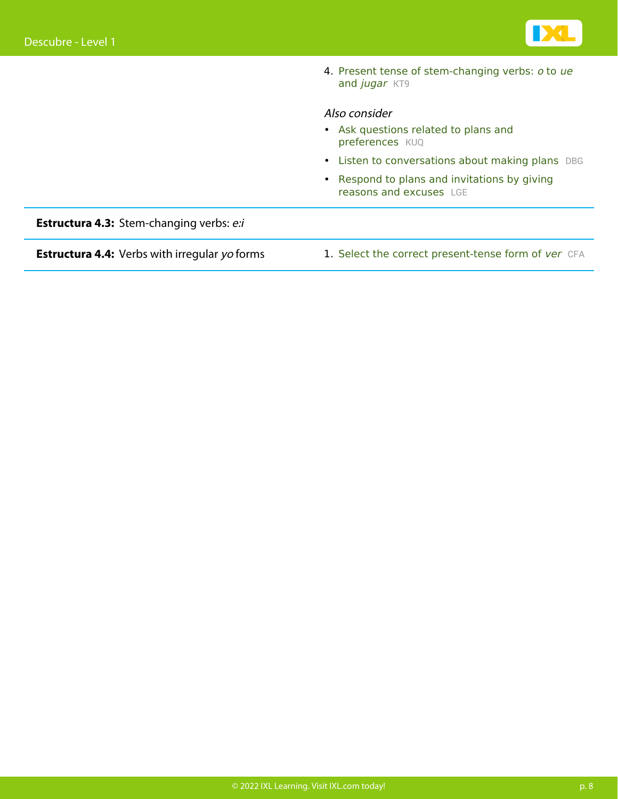

4. Present tense [o](https://www.ixl.com/spanish/level-1/present-tense-of-stem-changing-verbs-o-to-ue-and-jugar)f stem-changing verbs: o [to](https://www.ixl.com/spanish/level-1/present-tense-of-stem-changing-verbs-o-to-ue-and-jugar) [ue](https://www.ixl.com/spanish/level-1/present-tense-of-stem-changing-verbs-o-to-ue-and-jugar) [and](https://www.ixl.com/spanish/level-1/present-tense-of-stem-changing-verbs-o-to-ue-and-jugar) [jugar](https://www.ixl.com/spanish/level-1/present-tense-of-stem-changing-verbs-o-to-ue-and-jugar) [KT9](https://www.ixl.com/spanish/level-1/present-tense-of-stem-changing-verbs-o-to-ue-and-jugar)

#### Also consider

- [Ask questions related to plans and](https://www.ixl.com/spanish/level-1/ask-questions-related-to-plans-and-preferences) [preferences](https://www.ixl.com/spanish/level-1/ask-questions-related-to-plans-and-preferences) [KUQ](https://www.ixl.com/spanish/level-1/ask-questions-related-to-plans-and-preferences)
- [Listen to conversations about making plans](https://www.ixl.com/spanish/level-1/listen-to-conversations-about-making-plans) [DBG](https://www.ixl.com/spanish/level-1/listen-to-conversations-about-making-plans)
- [Respond to plans and invitations by giving](https://www.ixl.com/spanish/level-1/respond-to-plans-and-invitations-by-giving-reasons-and-excuses) [reasons and excuses](https://www.ixl.com/spanish/level-1/respond-to-plans-and-invitations-by-giving-reasons-and-excuses) [LGE](https://www.ixl.com/spanish/level-1/respond-to-plans-and-invitations-by-giving-reasons-and-excuses)

**Estructura 4.3:** Stem-changing verbs: e:i

**Estructura 4.4:** Verbs with irregular yo forms 1. [Select the correct present-tense form of](https://www.ixl.com/spanish/level-1/select-the-correct-present-tense-form-of-ver) [ver](https://www.ixl.com/spanish/level-1/select-the-correct-present-tense-form-of-ver) [CFA](https://www.ixl.com/spanish/level-1/select-the-correct-present-tense-form-of-ver)